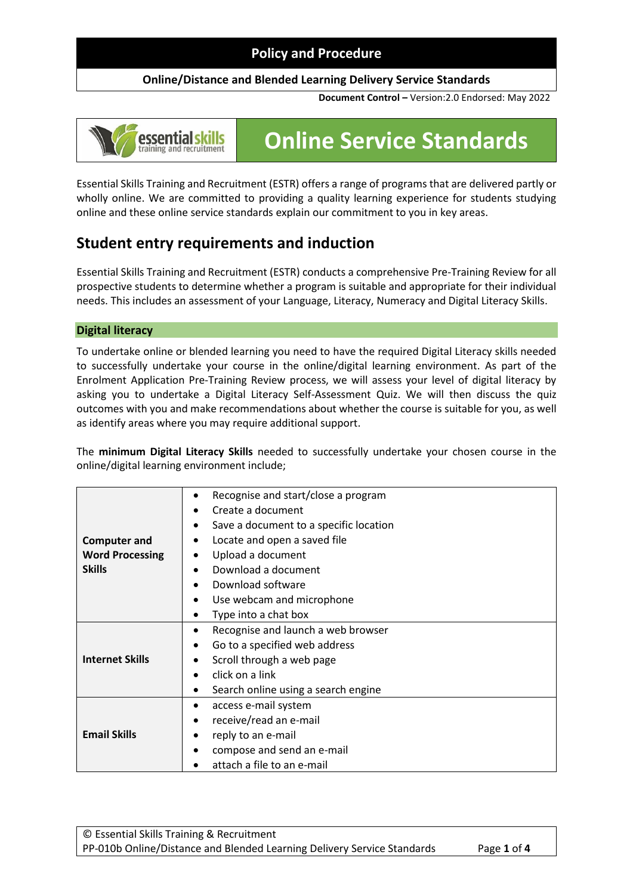#### **Online/Distance and Blended Learning Delivery Service Standards**

**Document Control –** Version:2.0 Endorsed: May 2022

# essential skills

# **Online Service Standards**

Essential Skills Training and Recruitment (ESTR) offers a range of programs that are delivered partly or wholly online. We are committed to providing a quality learning experience for students studying online and these online service standards explain our commitment to you in key areas.

# **Student entry requirements and induction**

Essential Skills Training and Recruitment (ESTR) conducts a comprehensive Pre-Training Review for all prospective students to determine whether a program is suitable and appropriate for their individual needs. This includes an assessment of your Language, Literacy, Numeracy and Digital Literacy Skills.

#### **Digital literacy**

To undertake online or blended learning you need to have the required Digital Literacy skills needed to successfully undertake your course in the online/digital learning environment. As part of the Enrolment Application Pre-Training Review process, we will assess your level of digital literacy by asking you to undertake a Digital Literacy Self-Assessment Quiz. We will then discuss the quiz outcomes with you and make recommendations about whether the course is suitable for you, as well as identify areas where you may require additional support.

The **minimum Digital Literacy Skills** needed to successfully undertake your chosen course in the online/digital learning environment include;

|                        | Recognise and start/close a program<br>$\bullet$    |
|------------------------|-----------------------------------------------------|
|                        | Create a document                                   |
|                        | Save a document to a specific location<br>$\bullet$ |
| <b>Computer and</b>    | Locate and open a saved file<br>٠                   |
| <b>Word Processing</b> | Upload a document<br>٠                              |
| <b>Skills</b>          | Download a document<br>$\bullet$                    |
|                        | Download software<br>$\bullet$                      |
|                        | Use webcam and microphone<br>$\bullet$              |
|                        | Type into a chat box<br>$\bullet$                   |
|                        | Recognise and launch a web browser<br>٠             |
|                        | Go to a specified web address<br>$\bullet$          |
| <b>Internet Skills</b> | Scroll through a web page<br>٠                      |
|                        | click on a link                                     |
|                        | Search online using a search engine<br>$\bullet$    |
|                        | access e-mail system<br>٠                           |
| <b>Email Skills</b>    | receive/read an e-mail<br>$\bullet$                 |
|                        | reply to an e-mail<br>٠                             |
|                        | compose and send an e-mail<br>$\bullet$             |
|                        | attach a file to an e-mail                          |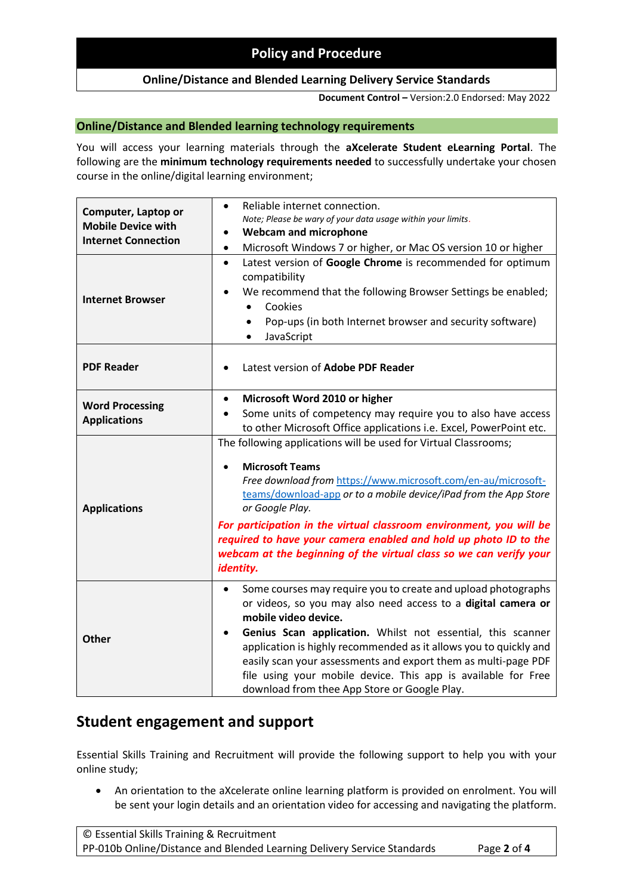#### **Online/Distance and Blended Learning Delivery Service Standards**

**Document Control –** Version:2.0 Endorsed: May 2022

#### **Online/Distance and Blended learning technology requirements**

You will access your learning materials through the **aXcelerate Student eLearning Portal**. The following are the **minimum technology requirements needed** to successfully undertake your chosen course in the online/digital learning environment;

| Computer, Laptop or<br><b>Mobile Device with</b><br><b>Internet Connection</b><br><b>Internet Browser</b> | Reliable internet connection.<br>$\bullet$<br>Note; Please be wary of your data usage within your limits.<br><b>Webcam and microphone</b><br>Microsoft Windows 7 or higher, or Mac OS version 10 or higher<br>$\bullet$<br>Latest version of Google Chrome is recommended for optimum<br>$\bullet$<br>compatibility<br>We recommend that the following Browser Settings be enabled;<br>Cookies<br>$\bullet$<br>Pop-ups (in both Internet browser and security software)<br>JavaScript      |
|-----------------------------------------------------------------------------------------------------------|--------------------------------------------------------------------------------------------------------------------------------------------------------------------------------------------------------------------------------------------------------------------------------------------------------------------------------------------------------------------------------------------------------------------------------------------------------------------------------------------|
| <b>PDF Reader</b>                                                                                         | Latest version of Adobe PDF Reader                                                                                                                                                                                                                                                                                                                                                                                                                                                         |
| <b>Word Processing</b><br><b>Applications</b>                                                             | Microsoft Word 2010 or higher<br>$\bullet$<br>Some units of competency may require you to also have access<br>to other Microsoft Office applications i.e. Excel, PowerPoint etc.                                                                                                                                                                                                                                                                                                           |
| <b>Applications</b>                                                                                       | The following applications will be used for Virtual Classrooms;<br><b>Microsoft Teams</b><br>Free download from https://www.microsoft.com/en-au/microsoft-<br>teams/download-app or to a mobile device/iPad from the App Store<br>or Google Play.<br>For participation in the virtual classroom environment, you will be<br>required to have your camera enabled and hold up photo ID to the                                                                                               |
|                                                                                                           | webcam at the beginning of the virtual class so we can verify your<br>identity.                                                                                                                                                                                                                                                                                                                                                                                                            |
| <b>Other</b>                                                                                              | Some courses may require you to create and upload photographs<br>$\bullet$<br>or videos, so you may also need access to a digital camera or<br>mobile video device.<br>Genius Scan application. Whilst not essential, this scanner<br>application is highly recommended as it allows you to quickly and<br>easily scan your assessments and export them as multi-page PDF<br>file using your mobile device. This app is available for Free<br>download from thee App Store or Google Play. |

# **Student engagement and support**

Essential Skills Training and Recruitment will provide the following support to help you with your online study;

• An orientation to the aXcelerate online learning platform is provided on enrolment. You will be sent your login details and an orientation video for accessing and navigating the platform.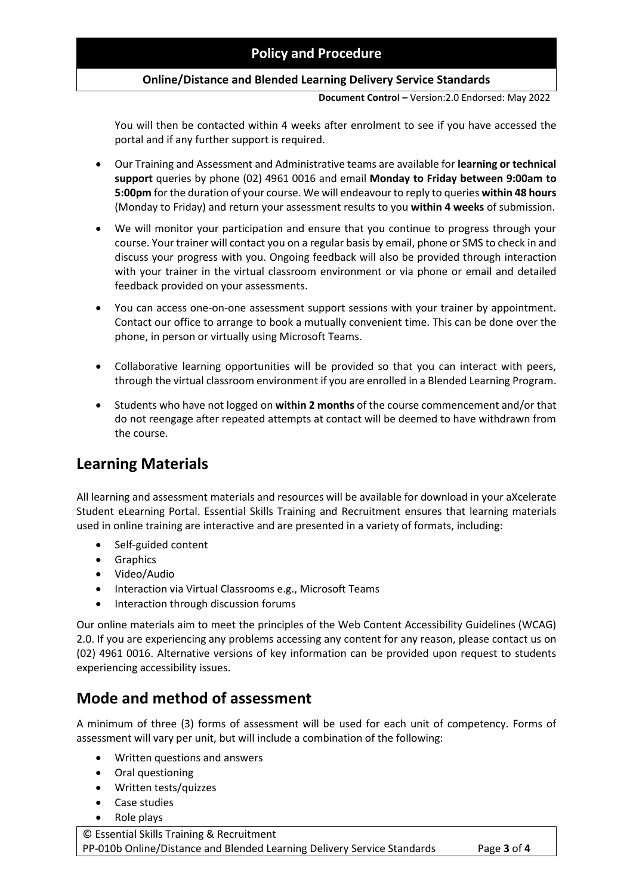#### **Online/Distance and Blended Learning Delivery Service Standards**

**Document Control –** Version:2.0 Endorsed: May 2022

You will then be contacted within 4 weeks after enrolment to see if you have accessed the portal and if any further support is required.

- Our Training and Assessment and Administrative teams are available for **learning or technical support** queries by phone (02) 4961 0016 and email **Monday to Friday between 9:00am to 5:00pm** for the duration of your course. We will endeavour to reply to queries **within 48 hours** (Monday to Friday) and return your assessment results to you **within 4 weeks** of submission.
- We will monitor your participation and ensure that you continue to progress through your course. Your trainer will contact you on a regular basis by email, phone or SMS to check in and discuss your progress with you. Ongoing feedback will also be provided through interaction with your trainer in the virtual classroom environment or via phone or email and detailed feedback provided on your assessments.
- You can access one-on-one assessment support sessions with your trainer by appointment. Contact our office to arrange to book a mutually convenient time. This can be done over the phone, in person or virtually using Microsoft Teams.
- Collaborative learning opportunities will be provided so that you can interact with peers, through the virtual classroom environment if you are enrolled in a Blended Learning Program.
- Students who have not logged on **within 2 months** of the course commencement and/or that do not reengage after repeated attempts at contact will be deemed to have withdrawn from the course.

# **Learning Materials**

All learning and assessment materials and resources will be available for download in your aXcelerate Student eLearning Portal. Essential Skills Training and Recruitment ensures that learning materials used in online training are interactive and are presented in a variety of formats, including:

- Self-guided content
- Graphics
- Video/Audio
- Interaction via Virtual Classrooms e.g., Microsoft Teams
- Interaction through discussion forums

Our online materials aim to meet the principles of the Web Content Accessibility Guidelines (WCAG) 2.0. If you are experiencing any problems accessing any content for any reason, please contact us on (02) 4961 0016. Alternative versions of key information can be provided upon request to students experiencing accessibility issues.

# **Mode and method of assessment**

A minimum of three (3) forms of assessment will be used for each unit of competency. Forms of assessment will vary per unit, but will include a combination of the following:

- Written questions and answers
- Oral questioning
- Written tests/quizzes
- Case studies
- Role plays

© Essential Skills Training & Recruitment PP-010b Online/Distance and Blended Learning Delivery Service Standards Page **3** of **4**